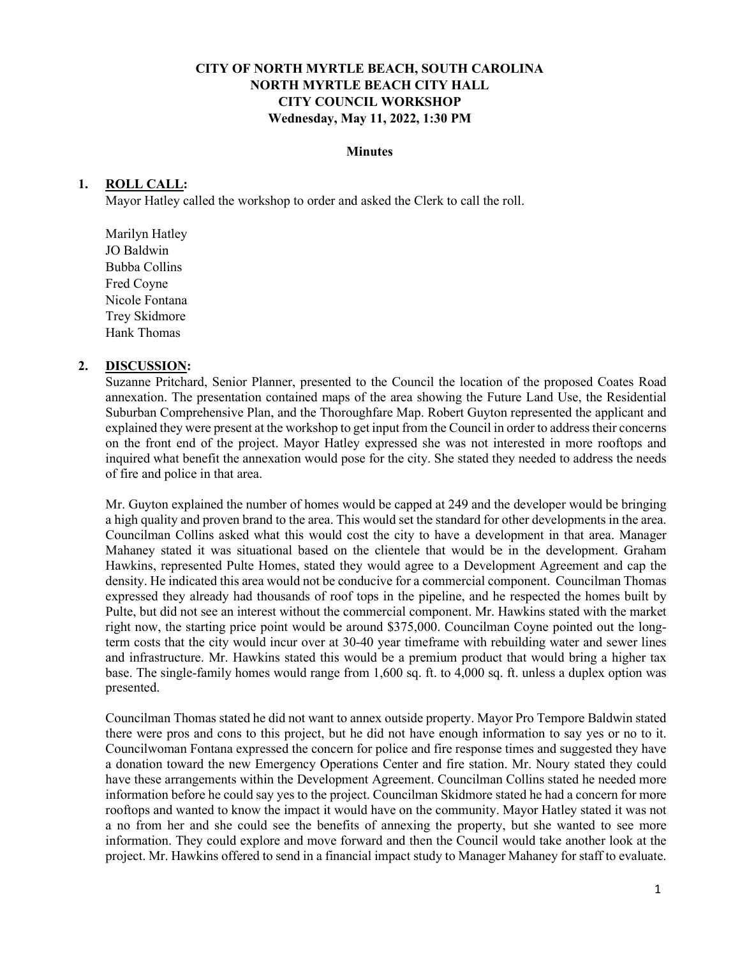## **CITY OF NORTH MYRTLE BEACH, SOUTH CAROLINA NORTH MYRTLE BEACH CITY HALL CITY COUNCIL WORKSHOP Wednesday, May 11, 2022, 1:30 PM**

#### **Minutes**

### **1. ROLL CALL:**

Mayor Hatley called the workshop to order and asked the Clerk to call the roll.

Marilyn Hatley JO Baldwin Bubba Collins Fred Coyne Nicole Fontana Trey Skidmore Hank Thomas

### **2. DISCUSSION:**

Suzanne Pritchard, Senior Planner, presented to the Council the location of the proposed Coates Road annexation. The presentation contained maps of the area showing the Future Land Use, the Residential Suburban Comprehensive Plan, and the Thoroughfare Map. Robert Guyton represented the applicant and explained they were present at the workshop to get input from the Council in order to address their concerns on the front end of the project. Mayor Hatley expressed she was not interested in more rooftops and inquired what benefit the annexation would pose for the city. She stated they needed to address the needs of fire and police in that area.

Mr. Guyton explained the number of homes would be capped at 249 and the developer would be bringing a high quality and proven brand to the area. This would set the standard for other developments in the area. Councilman Collins asked what this would cost the city to have a development in that area. Manager Mahaney stated it was situational based on the clientele that would be in the development. Graham Hawkins, represented Pulte Homes, stated they would agree to a Development Agreement and cap the density. He indicated this area would not be conducive for a commercial component. Councilman Thomas expressed they already had thousands of roof tops in the pipeline, and he respected the homes built by Pulte, but did not see an interest without the commercial component. Mr. Hawkins stated with the market right now, the starting price point would be around \$375,000. Councilman Coyne pointed out the longterm costs that the city would incur over at 30-40 year timeframe with rebuilding water and sewer lines and infrastructure. Mr. Hawkins stated this would be a premium product that would bring a higher tax base. The single-family homes would range from 1,600 sq. ft. to 4,000 sq. ft. unless a duplex option was presented.

Councilman Thomas stated he did not want to annex outside property. Mayor Pro Tempore Baldwin stated there were pros and cons to this project, but he did not have enough information to say yes or no to it. Councilwoman Fontana expressed the concern for police and fire response times and suggested they have a donation toward the new Emergency Operations Center and fire station. Mr. Noury stated they could have these arrangements within the Development Agreement. Councilman Collins stated he needed more information before he could say yes to the project. Councilman Skidmore stated he had a concern for more rooftops and wanted to know the impact it would have on the community. Mayor Hatley stated it was not a no from her and she could see the benefits of annexing the property, but she wanted to see more information. They could explore and move forward and then the Council would take another look at the project. Mr. Hawkins offered to send in a financial impact study to Manager Mahaney for staff to evaluate.